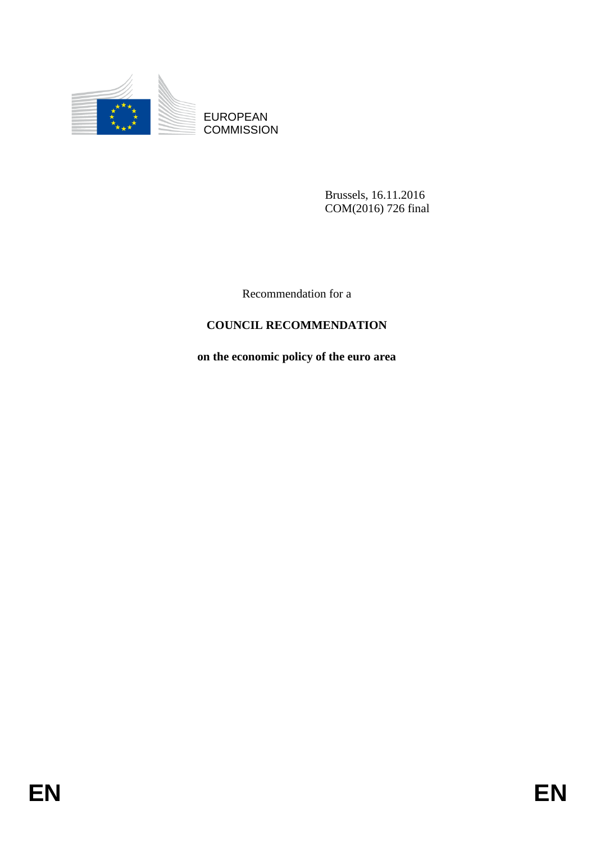

**COMMISSION** 

Brussels, 16.11.2016 COM(2016) 726 final

Recommendation for a

# **COUNCIL RECOMMENDATION**

# **on the economic policy of the euro area**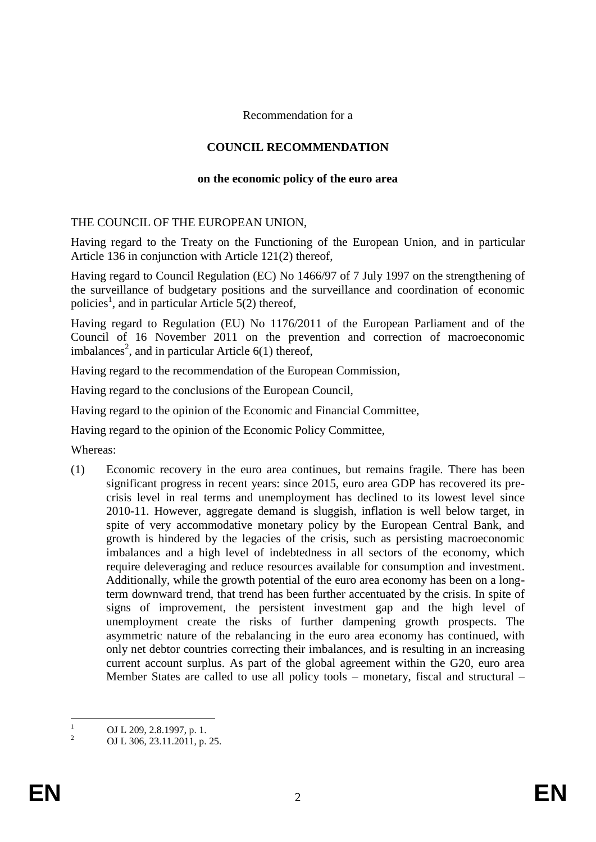#### Recommendation for a

## **COUNCIL RECOMMENDATION**

#### **on the economic policy of the euro area**

### THE COUNCIL OF THE EUROPEAN UNION,

Having regard to the Treaty on the Functioning of the European Union, and in particular Article 136 in conjunction with Article 121(2) thereof,

Having regard to Council Regulation (EC) No 1466/97 of 7 July 1997 on the strengthening of the surveillance of budgetary positions and the surveillance and coordination of economic policies<sup>1</sup>, and in particular Article 5(2) thereof,

Having regard to Regulation (EU) No 1176/2011 of the European Parliament and of the Council of 16 November 2011 on the prevention and correction of macroeconomic imbalances<sup>2</sup>, and in particular Article  $6(1)$  thereof,

Having regard to the recommendation of the European Commission,

Having regard to the conclusions of the European Council,

Having regard to the opinion of the Economic and Financial Committee,

Having regard to the opinion of the Economic Policy Committee,

Whereas:

(1) Economic recovery in the euro area continues, but remains fragile. There has been significant progress in recent years: since 2015, euro area GDP has recovered its precrisis level in real terms and unemployment has declined to its lowest level since 2010-11. However, aggregate demand is sluggish, inflation is well below target, in spite of very accommodative monetary policy by the European Central Bank, and growth is hindered by the legacies of the crisis, such as persisting macroeconomic imbalances and a high level of indebtedness in all sectors of the economy, which require deleveraging and reduce resources available for consumption and investment. Additionally, while the growth potential of the euro area economy has been on a longterm downward trend, that trend has been further accentuated by the crisis. In spite of signs of improvement, the persistent investment gap and the high level of unemployment create the risks of further dampening growth prospects. The asymmetric nature of the rebalancing in the euro area economy has continued, with only net debtor countries correcting their imbalances, and is resulting in an increasing current account surplus. As part of the global agreement within the G20, euro area Member States are called to use all policy tools – monetary, fiscal and structural –

 $\overline{1}$  $\frac{1}{2}$  OJ L 209, 2.8.1997, p. 1.

<sup>2</sup> OJ L 306, 23.11.2011, p. 25.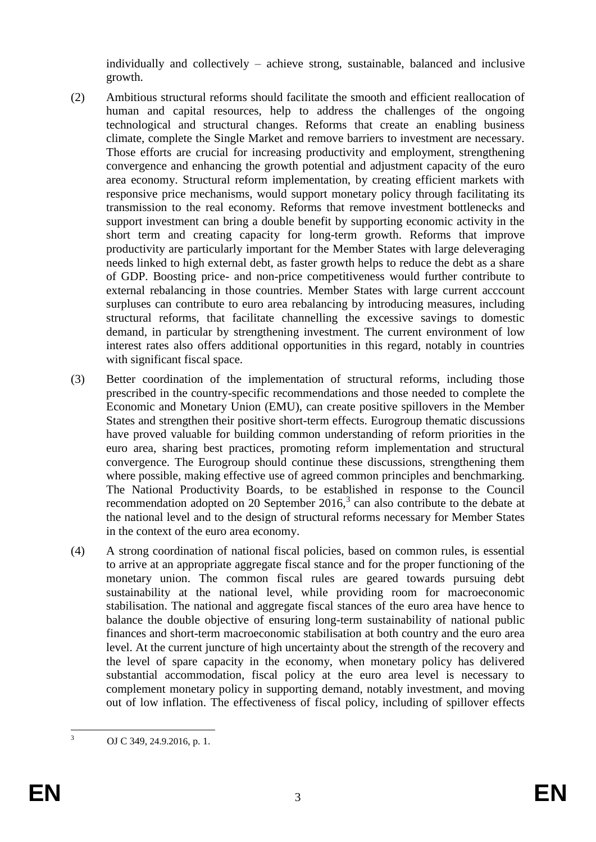individually and collectively – achieve strong, sustainable, balanced and inclusive growth.

- (2) Ambitious structural reforms should facilitate the smooth and efficient reallocation of human and capital resources, help to address the challenges of the ongoing technological and structural changes. Reforms that create an enabling business climate, complete the Single Market and remove barriers to investment are necessary. Those efforts are crucial for increasing productivity and employment, strengthening convergence and enhancing the growth potential and adjustment capacity of the euro area economy. Structural reform implementation, by creating efficient markets with responsive price mechanisms, would support monetary policy through facilitating its transmission to the real economy. Reforms that remove investment bottlenecks and support investment can bring a double benefit by supporting economic activity in the short term and creating capacity for long-term growth. Reforms that improve productivity are particularly important for the Member States with large deleveraging needs linked to high external debt, as faster growth helps to reduce the debt as a share of GDP. Boosting price- and non-price competitiveness would further contribute to external rebalancing in those countries. Member States with large current acccount surpluses can contribute to euro area rebalancing by introducing measures, including structural reforms, that facilitate channelling the excessive savings to domestic demand, in particular by strengthening investment. The current environment of low interest rates also offers additional opportunities in this regard, notably in countries with significant fiscal space.
- (3) Better coordination of the implementation of structural reforms, including those prescribed in the country-specific recommendations and those needed to complete the Economic and Monetary Union (EMU), can create positive spillovers in the Member States and strengthen their positive short-term effects. Eurogroup thematic discussions have proved valuable for building common understanding of reform priorities in the euro area, sharing best practices, promoting reform implementation and structural convergence. The Eurogroup should continue these discussions, strengthening them where possible, making effective use of agreed common principles and benchmarking. The National Productivity Boards, to be established in response to the Council recommendation adopted on 20 September 2016, $3$  can also contribute to the debate at the national level and to the design of structural reforms necessary for Member States in the context of the euro area economy.
- (4) A strong coordination of national fiscal policies, based on common rules, is essential to arrive at an appropriate aggregate fiscal stance and for the proper functioning of the monetary union. The common fiscal rules are geared towards pursuing debt sustainability at the national level, while providing room for macroeconomic stabilisation. The national and aggregate fiscal stances of the euro area have hence to balance the double objective of ensuring long-term sustainability of national public finances and short-term macroeconomic stabilisation at both country and the euro area level. At the current juncture of high uncertainty about the strength of the recovery and the level of spare capacity in the economy, when monetary policy has delivered substantial accommodation, fiscal policy at the euro area level is necessary to complement monetary policy in supporting demand, notably investment, and moving out of low inflation. The effectiveness of fiscal policy, including of spillover effects

 $\overline{3}$ <sup>3</sup> OJ C 349, 24.9.2016, p. 1.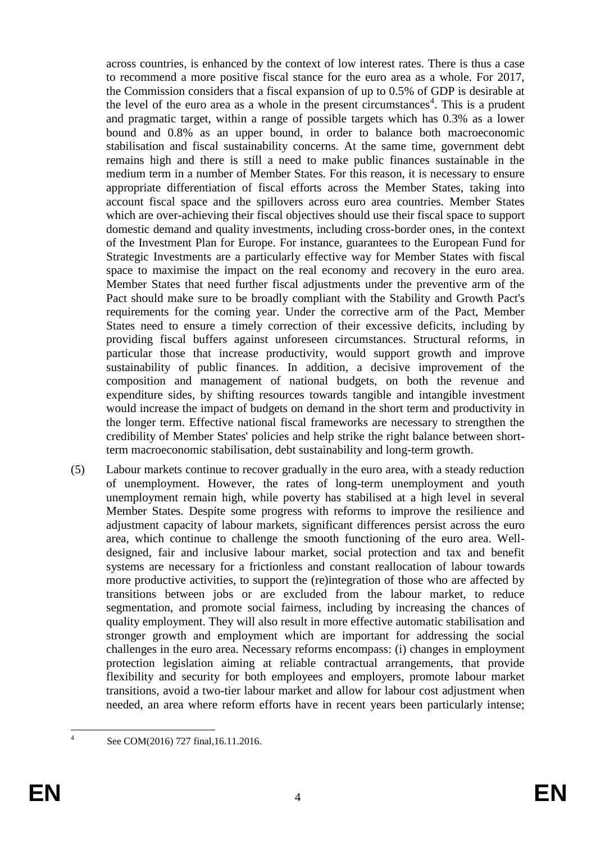across countries, is enhanced by the context of low interest rates. There is thus a case to recommend a more positive fiscal stance for the euro area as a whole. For 2017, the Commission considers that a fiscal expansion of up to 0.5% of GDP is desirable at the level of the euro area as a whole in the present circumstances<sup>4</sup>. This is a prudent and pragmatic target, within a range of possible targets which has 0.3% as a lower bound and 0.8% as an upper bound, in order to balance both macroeconomic stabilisation and fiscal sustainability concerns. At the same time, government debt remains high and there is still a need to make public finances sustainable in the medium term in a number of Member States. For this reason, it is necessary to ensure appropriate differentiation of fiscal efforts across the Member States, taking into account fiscal space and the spillovers across euro area countries. Member States which are over-achieving their fiscal objectives should use their fiscal space to support domestic demand and quality investments, including cross-border ones, in the context of the Investment Plan for Europe. For instance, guarantees to the European Fund for Strategic Investments are a particularly effective way for Member States with fiscal space to maximise the impact on the real economy and recovery in the euro area. Member States that need further fiscal adjustments under the preventive arm of the Pact should make sure to be broadly compliant with the Stability and Growth Pact's requirements for the coming year. Under the corrective arm of the Pact, Member States need to ensure a timely correction of their excessive deficits, including by providing fiscal buffers against unforeseen circumstances. Structural reforms, in particular those that increase productivity, would support growth and improve sustainability of public finances. In addition, a decisive improvement of the composition and management of national budgets, on both the revenue and expenditure sides, by shifting resources towards tangible and intangible investment would increase the impact of budgets on demand in the short term and productivity in the longer term. Effective national fiscal frameworks are necessary to strengthen the credibility of Member States' policies and help strike the right balance between shortterm macroeconomic stabilisation, debt sustainability and long-term growth.

(5) Labour markets continue to recover gradually in the euro area, with a steady reduction of unemployment. However, the rates of long-term unemployment and youth unemployment remain high, while poverty has stabilised at a high level in several Member States. Despite some progress with reforms to improve the resilience and adjustment capacity of labour markets, significant differences persist across the euro area, which continue to challenge the smooth functioning of the euro area. Welldesigned, fair and inclusive labour market, social protection and tax and benefit systems are necessary for a frictionless and constant reallocation of labour towards more productive activities, to support the (re)integration of those who are affected by transitions between jobs or are excluded from the labour market, to reduce segmentation, and promote social fairness, including by increasing the chances of quality employment. They will also result in more effective automatic stabilisation and stronger growth and employment which are important for addressing the social challenges in the euro area. Necessary reforms encompass: (i) changes in employment protection legislation aiming at reliable contractual arrangements, that provide flexibility and security for both employees and employers, promote labour market transitions, avoid a two-tier labour market and allow for labour cost adjustment when needed, an area where reform efforts have in recent years been particularly intense;

 $\frac{1}{4}$ 

See COM(2016) 727 final,16.11.2016.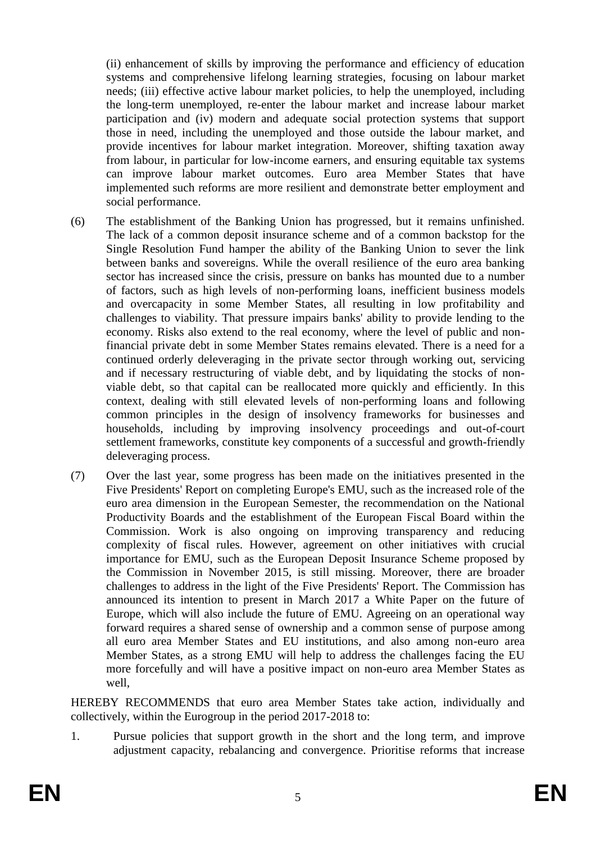(ii) enhancement of skills by improving the performance and efficiency of education systems and comprehensive lifelong learning strategies, focusing on labour market needs; (iii) effective active labour market policies, to help the unemployed, including the long-term unemployed, re-enter the labour market and increase labour market participation and (iv) modern and adequate social protection systems that support those in need, including the unemployed and those outside the labour market, and provide incentives for labour market integration. Moreover, shifting taxation away from labour, in particular for low-income earners, and ensuring equitable tax systems can improve labour market outcomes. Euro area Member States that have implemented such reforms are more resilient and demonstrate better employment and social performance.

- (6) The establishment of the Banking Union has progressed, but it remains unfinished. The lack of a common deposit insurance scheme and of a common backstop for the Single Resolution Fund hamper the ability of the Banking Union to sever the link between banks and sovereigns. While the overall resilience of the euro area banking sector has increased since the crisis, pressure on banks has mounted due to a number of factors, such as high levels of non-performing loans, inefficient business models and overcapacity in some Member States, all resulting in low profitability and challenges to viability. That pressure impairs banks' ability to provide lending to the economy. Risks also extend to the real economy, where the level of public and nonfinancial private debt in some Member States remains elevated. There is a need for a continued orderly deleveraging in the private sector through working out, servicing and if necessary restructuring of viable debt, and by liquidating the stocks of nonviable debt, so that capital can be reallocated more quickly and efficiently. In this context, dealing with still elevated levels of non-performing loans and following common principles in the design of insolvency frameworks for businesses and households, including by improving insolvency proceedings and out-of-court settlement frameworks, constitute key components of a successful and growth-friendly deleveraging process.
- (7) Over the last year, some progress has been made on the initiatives presented in the Five Presidents' Report on completing Europe's EMU, such as the increased role of the euro area dimension in the European Semester, the recommendation on the National Productivity Boards and the establishment of the European Fiscal Board within the Commission. Work is also ongoing on improving transparency and reducing complexity of fiscal rules. However, agreement on other initiatives with crucial importance for EMU, such as the European Deposit Insurance Scheme proposed by the Commission in November 2015, is still missing. Moreover, there are broader challenges to address in the light of the Five Presidents' Report. The Commission has announced its intention to present in March 2017 a White Paper on the future of Europe, which will also include the future of EMU. Agreeing on an operational way forward requires a shared sense of ownership and a common sense of purpose among all euro area Member States and EU institutions, and also among non-euro area Member States, as a strong EMU will help to address the challenges facing the EU more forcefully and will have a positive impact on non-euro area Member States as well,

HEREBY RECOMMENDS that euro area Member States take action, individually and collectively, within the Eurogroup in the period 2017-2018 to:

1. Pursue policies that support growth in the short and the long term, and improve adjustment capacity, rebalancing and convergence. Prioritise reforms that increase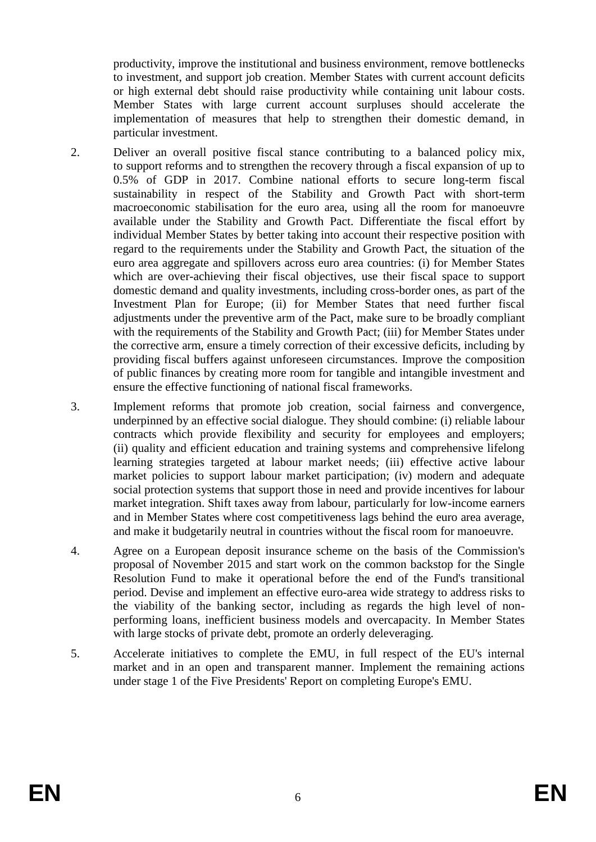productivity, improve the institutional and business environment, remove bottlenecks to investment, and support job creation. Member States with current account deficits or high external debt should raise productivity while containing unit labour costs. Member States with large current account surpluses should accelerate the implementation of measures that help to strengthen their domestic demand, in particular investment.

- 2. Deliver an overall positive fiscal stance contributing to a balanced policy mix, to support reforms and to strengthen the recovery through a fiscal expansion of up to 0.5% of GDP in 2017. Combine national efforts to secure long-term fiscal sustainability in respect of the Stability and Growth Pact with short-term macroeconomic stabilisation for the euro area, using all the room for manoeuvre available under the Stability and Growth Pact. Differentiate the fiscal effort by individual Member States by better taking into account their respective position with regard to the requirements under the Stability and Growth Pact, the situation of the euro area aggregate and spillovers across euro area countries: (i) for Member States which are over-achieving their fiscal objectives, use their fiscal space to support domestic demand and quality investments, including cross-border ones, as part of the Investment Plan for Europe; (ii) for Member States that need further fiscal adjustments under the preventive arm of the Pact, make sure to be broadly compliant with the requirements of the Stability and Growth Pact; (iii) for Member States under the corrective arm, ensure a timely correction of their excessive deficits, including by providing fiscal buffers against unforeseen circumstances. Improve the composition of public finances by creating more room for tangible and intangible investment and ensure the effective functioning of national fiscal frameworks.
- 3. Implement reforms that promote job creation, social fairness and convergence, underpinned by an effective social dialogue. They should combine: (i) reliable labour contracts which provide flexibility and security for employees and employers; (ii) quality and efficient education and training systems and comprehensive lifelong learning strategies targeted at labour market needs; (iii) effective active labour market policies to support labour market participation; (iv) modern and adequate social protection systems that support those in need and provide incentives for labour market integration. Shift taxes away from labour, particularly for low-income earners and in Member States where cost competitiveness lags behind the euro area average, and make it budgetarily neutral in countries without the fiscal room for manoeuvre.
- 4. Agree on a European deposit insurance scheme on the basis of the Commission's proposal of November 2015 and start work on the common backstop for the Single Resolution Fund to make it operational before the end of the Fund's transitional period. Devise and implement an effective euro-area wide strategy to address risks to the viability of the banking sector, including as regards the high level of nonperforming loans, inefficient business models and overcapacity. In Member States with large stocks of private debt, promote an orderly deleveraging.
- 5. Accelerate initiatives to complete the EMU, in full respect of the EU's internal market and in an open and transparent manner. Implement the remaining actions under stage 1 of the Five Presidents' Report on completing Europe's EMU.